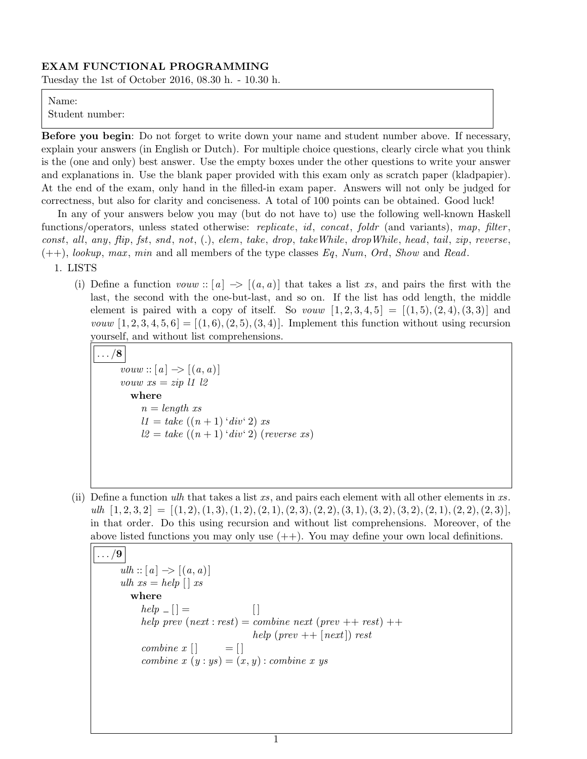#### EXAM FUNCTIONAL PROGRAMMING

Tuesday the 1st of October 2016, 08.30 h. - 10.30 h.

#### Name:

Student number:

Before you begin: Do not forget to write down your name and student number above. If necessary, explain your answers (in English or Dutch). For multiple choice questions, clearly circle what you think is the (one and only) best answer. Use the empty boxes under the other questions to write your answer and explanations in. Use the blank paper provided with this exam only as scratch paper (kladpapier). At the end of the exam, only hand in the filled-in exam paper. Answers will not only be judged for correctness, but also for clarity and conciseness. A total of 100 points can be obtained. Good luck!

In any of your answers below you may (but do not have to) use the following well-known Haskell functions/operators, unless stated otherwise: *replicate*, *id*, *concat*, *foldr* (and variants), map, *filter*,  $const, \text{ all}, \text{ any}, \text{ flip}, \text{fst}, \text{snd}, \text{ not}, \text{(.)}, \text{ elem}, \text{take}, \text{drop}, \text{takeWhile}, \text{dropWhile}, \text{head}, \text{tail}, \text{zip}, \text{reverse}, \text{f}$  $(++)$ , lookup, max, min and all members of the type classes Eq, Num, Ord, Show and Read.

1. LISTS

(i) Define a function vouw :: [a]  $\rightarrow$  [(a, a)] that takes a list xs, and pairs the first with the last, the second with the one-but-last, and so on. If the list has odd length, the middle element is paired with a copy of itself. So *vouw*  $[1, 2, 3, 4, 5] = [(1, 5), (2, 4), (3, 3)]$  and *vouw*  $[1, 2, 3, 4, 5, 6] = [(1, 6), (2, 5), (3, 4)]$ . Implement this function without using recursion yourself, and without list comprehensions.

```
\ldots/8vouw :: [a] \rightarrow [(a, a)]vouw xs = zip \, \, l1 \, \, l2where
 n = length xsl1 = take ((n + 1) 'div' 2) xsl2 = take ((n + 1) 'div' 2) (reverse xs)
```
(ii) Define a function ulh that takes a list xs, and pairs each element with all other elements in  $xs$ .  $ulh [1, 2, 3, 2] = [(1, 2), (1, 3), (1, 2), (2, 1), (2, 3), (2, 2), (3, 1), (3, 2), (3, 2), (2, 1), (2, 2), (2, 3)],$ in that order. Do this using recursion and without list comprehensions. Moreover, of the above listed functions you may only use  $(++)$ . You may define your own local definitions.

```
\ldots/9ulh :: [a] \rightarrow [(a, a)]ulh xs = help \mid xswhere
help \_ || =help prev (next : rest) = combine next (prev ++ rest) ++help (prev ++ [next]) rest
combine x \mid \cdot \cdot \cdot = \cdotcombine x(y:ys) = (x, y): combine x ys
```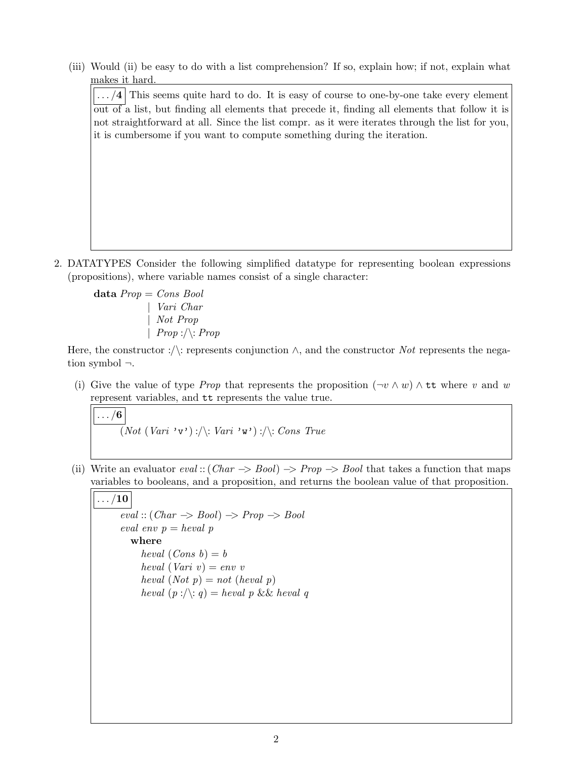(iii) Would (ii) be easy to do with a list comprehension? If so, explain how; if not, explain what makes it hard.

 $\lfloor \ldots/4 \rfloor$  This seems quite hard to do. It is easy of course to one-by-one take every element out of a list, but finding all elements that precede it, finding all elements that follow it is not straightforward at all. Since the list compr. as it were iterates through the list for you, it is cumbersome if you want to compute something during the iteration.

2. DATATYPES Consider the following simplified datatype for representing boolean expressions (propositions), where variable names consist of a single character:

data  $Prop = Cons\,Bool$ | Vari Char | Not Prop  $| \; Prop : \wedge : Prop$ 

Here, the constructor :  $\langle \cdot \rangle$ : represents conjunction  $\wedge$ , and the constructor Not represents the negation symbol ¬.

(i) Give the value of type *Prop* that represents the proposition  $(\neg v \wedge w) \wedge \tau\tau$  where v and w represent variables, and tt represents the value true.

 $\ldots/6$  $\overrightarrow{(Not (Vari' \vee \cdot)} : \wedge : Vari' \vee \cdot) : \wedge : Cons True$ 

(ii) Write an evaluator  $eval::(Char \rightarrow Bool) \rightarrow Prop \rightarrow Bool$  that takes a function that maps variables to booleans, and a proposition, and returns the boolean value of that proposition.

$$
\ldots/10
$$

 $eval::(Char \Rightarrow Bool) \Rightarrow Prop \Rightarrow Bool$ eval env  $p = \text{heval } p$ where heval  $(Cons\ b) = b$ heval (Vari  $v$ ) = env v heval  $(Not p) = not (heval p)$ heval  $(p : \land : q) = \text{heval } p \&\& \text{heval } q$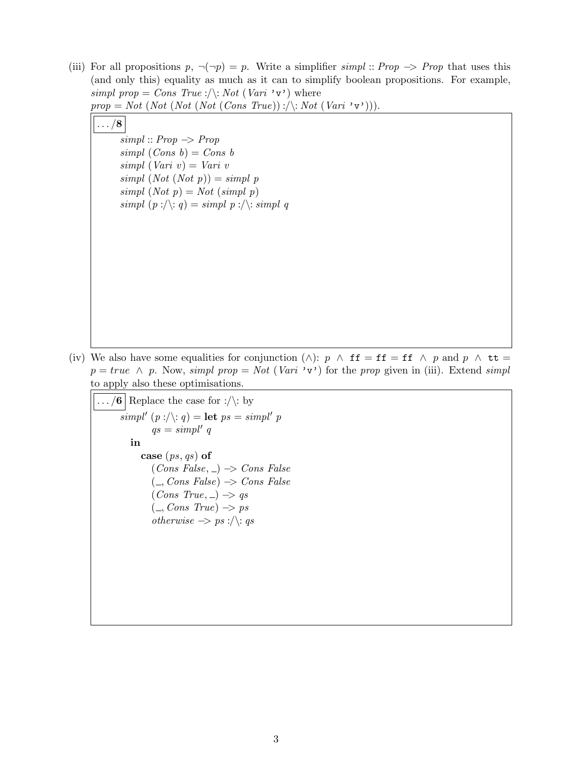(iii) For all propositions  $p, \neg(\neg p) = p$ . Write a simplifier simpl :: Prop  $\Rightarrow$  Prop that uses this (and only this) equality as much as it can to simplify boolean propositions. For example, simpl prop = Cons True :/\: Not (Vari 'v') where

 $prop = Not (Not (Not (Not (Cons True)) : \langle \cdot; Not (Var i \cdot v \cdot) \rangle).$ 

 $\ldots/8$ 

 $simpl :: Prop \rightarrow Prop$  $simpl (Cons b) = Cons b$  $simpl$  (Vari v) = Vari v  $simpl (Not (Not p)) = simpl p$  $simpl (Not\ p) = Not (simpl\ p)$ simpl  $(p : \langle \cdot, q \rangle) =$  simpl  $p : \langle \cdot, \cdot \rangle$ : simpl q

(iv) We also have some equalities for conjunction ( $\wedge$ ):  $p \wedge \textbf{ff} = \textbf{ff} \wedge p$  and  $p \wedge \textbf{tt} =$  $p = true \land p$ . Now, simpl prop = Not (Vari 'v') for the prop given in (iii). Extend simpl to apply also these optimisations.

 $\ldots$  /6 Replace the case for :/\: by  $simpl' (p : \langle \cdot, q \rangle) = \textbf{let } ps = simpl' p$  $qs = simpl' q$ in case  $(ps, qs)$  of  $(Cons False, \_) \rightarrow Cons False$  $($ , Cons False)  $\rightarrow$  Cons False  $(Cons True, \_) \Rightarrow qs$  $($ , Cons True)  $\rightarrow$  ps *otherwise*  $\rightarrow$  *ps* :/\: *qs*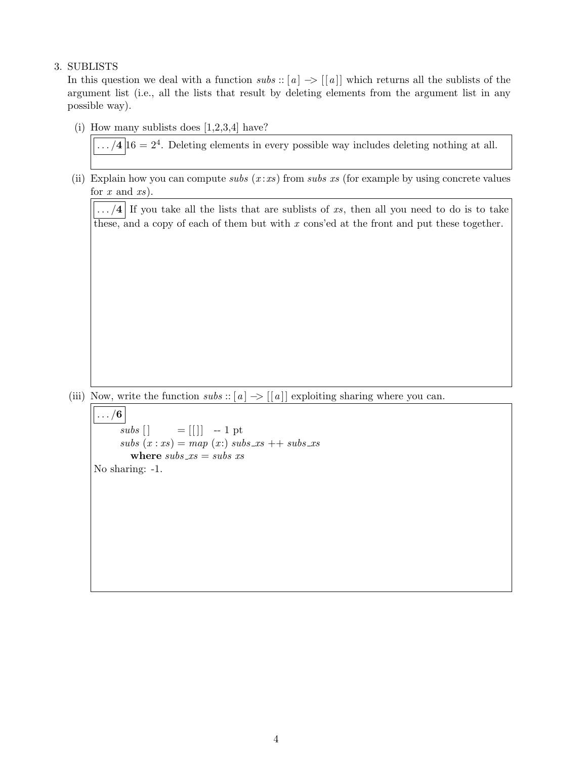# 3. SUBLISTS

In this question we deal with a function subs :: [a]  $\rightarrow$  [[a]] which returns all the sublists of the argument list (i.e., all the lists that result by deleting elements from the argument list in any possible way).

(i) How many sublists does  $[1,2,3,4]$  have?

 $\ldots/4|16=2^4$ . Deleting elements in every possible way includes deleting nothing at all.

(ii) Explain how you can compute subs  $(x : xs)$  from subs xs (for example by using concrete values for  $x$  and  $xs$ ).

 $\left| \ldots/4 \right|$  If you take all the lists that are sublists of xs, then all you need to do is to take these, and a copy of each of them but with  $x$  cons'ed at the front and put these together.

(iii) Now, write the function  $subs :: [a] \rightarrow [[a]]$  exploiting sharing where you can.

 $\ldots/6$  $subs [] = [[]] -1 pt$  $subs(x:xs) = map(x:) subs_xs + subs_xs$ where  $subs_x = subs$  xs No sharing: -1.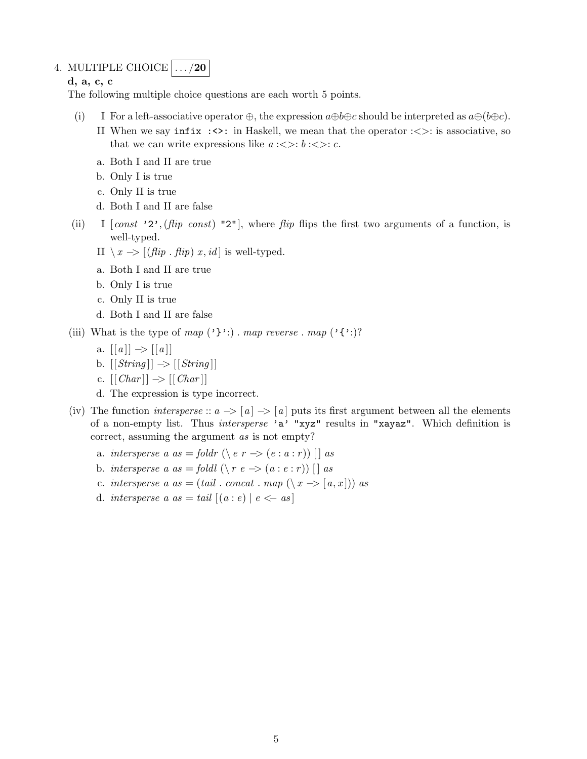# 4. MULTIPLE CHOICE  $\left| \ldots \right\rangle$  20

d, a, c, c

The following multiple choice questions are each worth 5 points.

- (i) I For a left-associative operator  $\oplus$ , the expression  $a \oplus b \oplus c$  should be interpreted as  $a \oplus (b \oplus c)$ .
	- II When we say  $\text{infix}$  :  $\leftrightarrow$ : in Haskell, we mean that the operator :  $\lt$ : is associative, so that we can write expressions like  $a:<<$ :  $b:<<$ : c.
	- a. Both I and II are true
	- b. Only I is true
	- c. Only II is true
	- d. Both I and II are false
- (ii) I  $[const'$  '2', (flip const) "2", where flip flips the first two arguments of a function, is well-typed.
	- II  $\setminus x$  → [(flip . flip) x, id] is well-typed.
	- a. Both I and II are true
	- b. Only I is true
	- c. Only II is true
	- d. Both I and II are false
- (iii) What is the type of map  $(\cdot \} \cdot)$ . map reverse . map  $(\cdot \} \cdot)$ ?
	- a.  $[ [a] ] \rightarrow [ [a] ]$
	- b.  $[|String|] \rightarrow |[String]|$
	- c.  $\left[ \left[ \text{Char} \right] \right] \rightarrow \left[ \left[ \text{Char} \right] \right]$
	- d. The expression is type incorrect.
- (iv) The function *intersperse* ::  $a \rightarrow |a| \rightarrow |a|$  puts its first argument between all the elements of a non-empty list. Thus intersperse 'a' "xyz" results in "xayaz". Which definition is correct, assuming the argument as is not empty?
	- a. intersperse a as = foldr (\e r -> (e : a : r)) [| as
	- b. intersperse a as = foldl  $(\langle r \ e \rightarrow (a : e : r \rangle) )$  [] as
	- c. intersperse a as = (tail . concat . map  $(\langle x \rangle \geq [a, x])$ ) as
	- d. *intersperse a as* = tail  $[(a : e) | e \leftarrow as]$